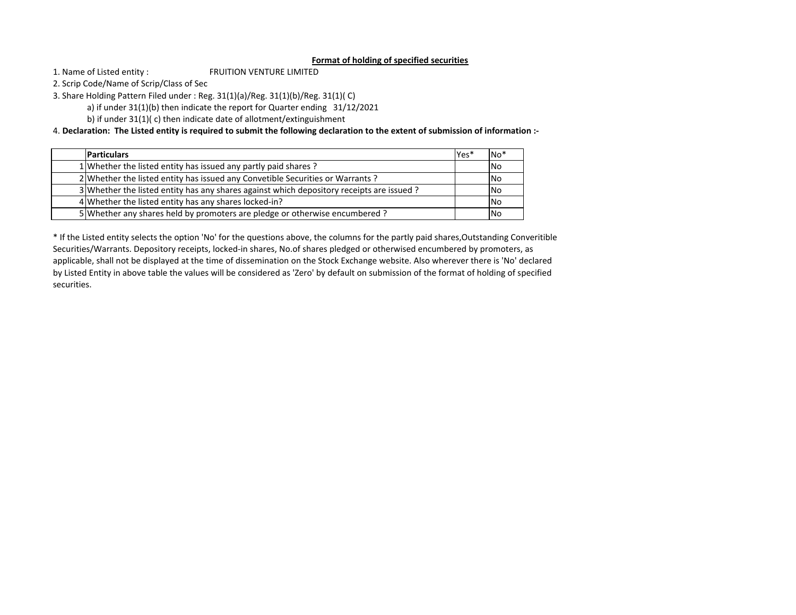## **Format of holding of specified securities**

FRUITION VENTURE LIMITED1. Name of Listed entity :

2. Scrip Code/Name of Scrip/Class of Sec

3. Share Holding Pattern Filed under : Reg. 31(1)(a)/Reg. 31(1)(b)/Reg. 31(1)( C)

a) if under 31(1)(b) then indicate the report for Quarter ending 31/12/2021

b) if under 31(1)( c) then indicate date of allotment/extinguishment

4. **Declaration: The Listed entity is required to submit the following declaration to the extent of submission of information :‐**

| <b>Particulars</b>                                                                       | Yes* | $No*$      |
|------------------------------------------------------------------------------------------|------|------------|
| 1 Whether the listed entity has issued any partly paid shares?                           |      | <b>No</b>  |
| 2 Whether the listed entity has issued any Convetible Securities or Warrants?            |      | <b>INo</b> |
| 3 Whether the listed entity has any shares against which depository receipts are issued? |      | <b>No</b>  |
| 4 Whether the listed entity has any shares locked-in?                                    |      | <b>No</b>  |
| 5 Whether any shares held by promoters are pledge or otherwise encumbered?               |      | <b>No</b>  |

\* If the Listed entity selects the option 'No' for the questions above, the columns for the partly paid shares,Outstanding Converitible Securities/Warrants. Depository receipts, locked‐in shares, No.of shares pledged or otherwised encumbered by promoters, as applicable, shall not be displayed at the time of dissemination on the Stock Exchange website. Also wherever there is 'No' declared by Listed Entity in above table the values will be considered as 'Zero' by default on submission of the format of holding of specified securities.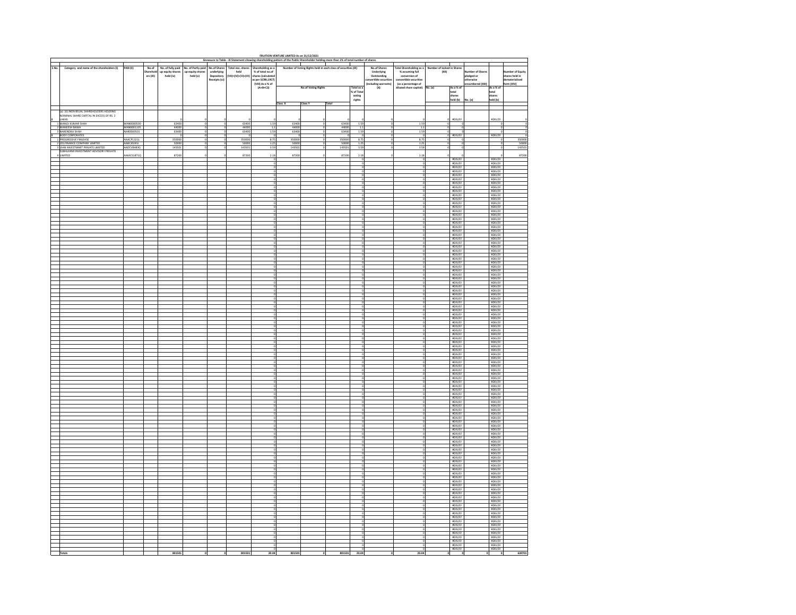|       | FRUITION VENTURE LIMITED As on 31/12/2021      |                 |           |                   |                    |                          |                     |                                        |         |                            |        |                    |                                  |                                  |                            |                               |                         |                                                                                      |                                           |  |
|-------|------------------------------------------------|-----------------|-----------|-------------------|--------------------|--------------------------|---------------------|----------------------------------------|---------|----------------------------|--------|--------------------|----------------------------------|----------------------------------|----------------------------|-------------------------------|-------------------------|--------------------------------------------------------------------------------------|-------------------------------------------|--|
|       |                                                |                 |           |                   |                    |                          |                     |                                        |         |                            |        |                    |                                  |                                  | $\mathbf{I}$               |                               |                         |                                                                                      |                                           |  |
| s No. | Category and name of the shareholders (I)      | <b>PAN (II)</b> | No.of     | No. of fully paid | No. of Partly paid |                          |                     |                                        |         |                            |        |                    | No.of Shares                     | <b>Total Shareholding as a</b>   | Number of locked in Shares |                               |                         |                                                                                      |                                           |  |
|       |                                                |                 | Sharehold | up equity shares  | up equity shares   | underlying<br>Depository | held                | % of total no.of<br>shares (calculated |         |                            |        |                    | <b>Underlying</b><br>Outstanding | % assuming full<br>conversion of | (XII)                      |                               | <b>Cumber of Shares</b> |                                                                                      | <b>Number of Equity</b><br>shares held in |  |
|       |                                                |                 | ers (III) | held (iv)         | held (v)           | Receipts (vi)            | (VII)=(IV)+(V)+(VI) | as per SCRR,1957)                      |         |                            |        |                    | nvertible securitie              | convertible securities           |                            |                               | pledged or<br>otherwise |                                                                                      | naterialised                              |  |
|       |                                                |                 |           |                   |                    |                          |                     | (VIII) As a % of                       |         |                            |        |                    |                                  | (as a percentage of              |                            |                               | ncumbered (XIII)        |                                                                                      | orm (XIV)                                 |  |
|       |                                                |                 |           |                   |                    |                          |                     | $(A + B + C2)$                         |         | <b>No.of Voting Rights</b> |        | Total as a         | (Including warrants)<br>(X)      | <b>Illuted share capital)</b>    | lo. (a)                    | As a % of                     |                         | As a % of                                                                            |                                           |  |
|       |                                                |                 |           |                   |                    |                          |                     |                                        |         |                            |        | % of Total         |                                  |                                  |                            |                               |                         | total                                                                                |                                           |  |
|       |                                                |                 |           |                   |                    |                          |                     |                                        |         |                            |        | voting<br>rights   |                                  |                                  |                            |                               |                         | shares                                                                               |                                           |  |
|       |                                                |                 |           |                   |                    |                          |                     |                                        |         |                            |        |                    |                                  |                                  |                            | total<br>shares<br>held (b)   | No. (a)                 | held (b)                                                                             |                                           |  |
|       |                                                |                 |           |                   |                    |                          |                     |                                        | Class X | Class Y                    | Total  |                    |                                  |                                  |                            |                               |                         |                                                                                      |                                           |  |
|       | (a) (II) INDIVIDUAL SHAREHOLDERS HOLDING       |                 |           |                   |                    |                          |                     |                                        |         |                            |        |                    |                                  |                                  |                            |                               |                         |                                                                                      |                                           |  |
|       | NOMINAL SHARE CAPITAL IN EXCESS OF RS. 2       |                 |           |                   |                    |                          |                     |                                        |         |                            |        |                    |                                  |                                  |                            |                               |                         |                                                                                      |                                           |  |
|       |                                                |                 |           |                   |                    |                          |                     |                                        |         |                            |        |                    |                                  |                                  |                            | #DIV/0!                       |                         | #DIV/01                                                                              |                                           |  |
|       | LAKHS.<br>1 MANOJ KUMAR SHAH                   | MAN0000500      |           | 63400             |                    |                          | 63400               | 1.59                                   | 63400   |                            | 63400  | 1.59               |                                  | 1.59                             |                            |                               |                         |                                                                                      |                                           |  |
|       | MANEESH BAWA                                   | MAN0001105      |           | 44000             |                    |                          | 44000               | $\frac{1.1}{1.59}$                     | 44000   |                            | 44000  | $\frac{1.1}{1.59}$ |                                  | $\overline{11}$                  |                            |                               |                         |                                                                                      |                                           |  |
|       | 3 NARENDRA SHAH                                | NAR0000501      |           |                   |                    |                          |                     |                                        |         |                            |        |                    |                                  | 1.59                             |                            |                               |                         |                                                                                      |                                           |  |
|       | <b>BODY CORPORATES</b><br>PROGRESSIVE FINLEASE | AAACP1321L      |           | 350000            |                    |                          | 350000              | 8.75                                   | 350000  |                            | 35000  | 875                |                                  | $\overline{z}$                   |                            | #DIV/0!                       |                         | #DIV/0!                                                                              | 350000                                    |  |
|       | 2 JDS FINANCE COMPANY LIMITED                  | AABCJ0245J      |           | 50000             |                    |                          | 50000               | 1.25                                   | 50000   |                            | 50000  | 1.25               |                                  | 125                              |                            |                               |                         |                                                                                      | 50000                                     |  |
|       | VIAN INVESTMART PRIVATE LIMITED                | AADCV8483G      |           | 143501            |                    |                          | 14350               | 3.59                                   | 14350   |                            | 143501 | 3.59               |                                  | 3.59                             |                            |                               |                         |                                                                                      | 143501                                    |  |
|       | BHLAXMI INVESTMENT ADVISORY PRIVATE            |                 |           |                   |                    |                          |                     |                                        |         |                            |        |                    |                                  |                                  |                            |                               |                         |                                                                                      |                                           |  |
|       | LIMITED                                        | AAMCS1871Q      |           | 87200             |                    |                          | 87200               | 2.18                                   | 87200   |                            | 87200  | 2.18               |                                  | 2.18                             |                            |                               |                         |                                                                                      | 87200                                     |  |
|       |                                                |                 |           |                   |                    |                          |                     |                                        |         |                            |        |                    |                                  |                                  |                            | #DIV/0<br>#DIV/0!             |                         | #DIV/01<br>#DIV/0                                                                    |                                           |  |
|       |                                                |                 |           |                   |                    |                          |                     |                                        |         |                            |        |                    |                                  |                                  |                            |                               |                         |                                                                                      |                                           |  |
|       |                                                |                 |           |                   |                    |                          |                     |                                        |         |                            |        |                    |                                  |                                  |                            | #DIV/01<br>#DIV/01            |                         | $\frac{\text{8DIV}}{\text{8DIV}}$                                                    |                                           |  |
|       |                                                |                 |           |                   |                    |                          |                     |                                        |         |                            |        |                    |                                  |                                  |                            | #DIV/0!                       |                         | #DIV/0!                                                                              |                                           |  |
|       |                                                |                 |           |                   |                    |                          |                     |                                        |         |                            |        |                    |                                  |                                  |                            | #DIV/0!                       |                         | #DIV/01                                                                              |                                           |  |
|       |                                                |                 |           |                   |                    |                          |                     |                                        |         |                            |        |                    |                                  |                                  |                            | #DIV/0!<br>#DIV/01            |                         | #DIV/0<br>#DIV/0!                                                                    |                                           |  |
|       |                                                |                 |           |                   |                    |                          |                     |                                        |         |                            |        |                    |                                  |                                  |                            | #DIV/0!                       |                         | #DIV/0!                                                                              |                                           |  |
|       |                                                |                 |           |                   |                    |                          |                     |                                        |         |                            |        |                    |                                  |                                  |                            | #DIV/0!                       |                         | #DIV/0                                                                               |                                           |  |
|       |                                                |                 |           |                   |                    |                          |                     |                                        |         |                            |        |                    |                                  |                                  |                            | #DIV/01<br>#DIV/01            |                         | #DIV/01                                                                              |                                           |  |
|       |                                                |                 |           |                   |                    |                          |                     |                                        |         |                            |        |                    |                                  |                                  |                            |                               |                         |                                                                                      |                                           |  |
|       |                                                |                 |           |                   |                    |                          |                     |                                        |         |                            |        |                    |                                  |                                  |                            | #DIV/0!                       |                         | #DIV/0!                                                                              |                                           |  |
|       |                                                |                 |           |                   |                    |                          |                     |                                        |         |                            |        |                    |                                  |                                  |                            | #DIV/0!<br>#DIV/01            |                         | #DIV/01<br>#DIV/01                                                                   |                                           |  |
|       |                                                |                 |           |                   |                    |                          |                     |                                        |         |                            |        |                    |                                  |                                  |                            |                               |                         |                                                                                      |                                           |  |
|       |                                                |                 |           |                   |                    |                          |                     |                                        |         |                            |        |                    |                                  |                                  |                            | #D(V/0)                       |                         | #DIV/01                                                                              |                                           |  |
|       |                                                |                 |           |                   |                    |                          |                     |                                        |         |                            |        |                    |                                  |                                  |                            | #DIV/01                       |                         | #DIV/01                                                                              |                                           |  |
|       |                                                |                 |           |                   |                    |                          |                     |                                        |         |                            |        |                    |                                  |                                  |                            | #DIV/01<br>#DIV/01<br>#DIV/01 |                         | #DIV/01<br>#DIV/01<br>#DIV/01                                                        |                                           |  |
|       |                                                |                 |           |                   |                    |                          |                     |                                        |         |                            |        |                    |                                  |                                  |                            |                               |                         |                                                                                      |                                           |  |
|       |                                                |                 |           |                   |                    |                          |                     |                                        |         |                            |        |                    |                                  |                                  |                            | #DIV/01                       |                         | 2DIV/0                                                                               |                                           |  |
|       |                                                |                 |           |                   |                    |                          |                     |                                        |         |                            |        |                    |                                  |                                  |                            | #DIV/01                       |                         | 2DIV/D                                                                               |                                           |  |
|       |                                                |                 |           |                   |                    |                          |                     |                                        |         |                            |        |                    |                                  |                                  |                            | #D(V/0)                       |                         | $\frac{\text{EDIV}}{\text{EDIV}/\text{O}}$                                           |                                           |  |
|       |                                                |                 |           |                   |                    |                          |                     |                                        |         |                            |        |                    |                                  |                                  |                            |                               |                         |                                                                                      |                                           |  |
|       |                                                |                 |           |                   |                    |                          |                     |                                        |         |                            |        |                    |                                  |                                  |                            | #DIV/0!                       |                         | #DIV/0                                                                               |                                           |  |
|       |                                                |                 |           |                   |                    |                          |                     |                                        |         |                            |        |                    |                                  |                                  |                            | #DIV/01<br>#DIV/01            |                         | #DIV/01                                                                              |                                           |  |
|       |                                                |                 |           |                   |                    |                          |                     |                                        |         |                            |        |                    |                                  |                                  |                            |                               |                         |                                                                                      |                                           |  |
|       |                                                |                 |           |                   |                    |                          |                     |                                        |         |                            |        |                    |                                  |                                  |                            | #DIV/01<br>#DIV/01            |                         | #DIV/01                                                                              |                                           |  |
|       |                                                |                 |           |                   |                    |                          |                     |                                        |         |                            |        |                    |                                  |                                  |                            | #DIV/01                       |                         | #DIV/0                                                                               |                                           |  |
|       |                                                |                 |           |                   |                    |                          |                     |                                        |         |                            |        |                    |                                  |                                  |                            | #D(V/0)                       |                         | #DIV/0!                                                                              |                                           |  |
|       |                                                |                 |           |                   |                    |                          |                     |                                        |         |                            |        |                    |                                  |                                  |                            |                               |                         |                                                                                      |                                           |  |
|       |                                                |                 |           |                   |                    |                          |                     |                                        |         |                            |        |                    |                                  |                                  |                            | #DIV/01                       |                         | #DIV/0!                                                                              |                                           |  |
|       |                                                |                 |           |                   |                    |                          |                     |                                        |         |                            |        |                    |                                  |                                  |                            | #DIV/01<br>#DIV/01            |                         | #DIV/01                                                                              |                                           |  |
|       |                                                |                 |           |                   |                    |                          |                     |                                        |         |                            |        |                    |                                  |                                  |                            | #DIV/0!                       |                         | #DIV/0!                                                                              |                                           |  |
|       |                                                |                 |           |                   |                    |                          |                     |                                        |         |                            |        |                    |                                  |                                  |                            | #DIV/0!                       |                         | #DIV/01                                                                              |                                           |  |
|       |                                                |                 |           |                   |                    |                          |                     |                                        |         |                            |        |                    |                                  |                                  |                            | #DIV/0!                       |                         | #DIV/01                                                                              |                                           |  |
|       |                                                |                 |           |                   |                    |                          |                     |                                        |         |                            |        |                    |                                  |                                  |                            | #D(V/0)                       |                         | $\frac{\text{EDV}}{\text{EDV}}$                                                      |                                           |  |
|       |                                                |                 |           |                   |                    |                          |                     |                                        |         |                            |        |                    |                                  |                                  |                            | #DIV/01                       |                         | 2DIV/D                                                                               |                                           |  |
|       |                                                |                 |           |                   |                    |                          |                     |                                        |         |                            |        |                    |                                  |                                  |                            | #DIV/0!                       |                         | #DIV/01                                                                              |                                           |  |
|       |                                                |                 |           |                   |                    |                          |                     |                                        |         |                            |        |                    |                                  |                                  |                            | #DIV/01                       |                         | #DIV/0                                                                               |                                           |  |
|       |                                                |                 |           |                   |                    |                          |                     |                                        |         |                            |        |                    |                                  |                                  |                            | #DIV/01<br>#DIV/01            |                         | #DIV/01<br>#DIV/01<br>#DIV/01                                                        |                                           |  |
|       |                                                |                 |           |                   |                    |                          |                     |                                        |         |                            |        |                    |                                  |                                  |                            | #DIV/01                       |                         |                                                                                      |                                           |  |
|       |                                                |                 |           |                   |                    |                          |                     |                                        |         |                            |        |                    |                                  |                                  |                            | #DIV/0!                       |                         | EDIV/D!                                                                              |                                           |  |
|       |                                                |                 |           |                   |                    |                          |                     |                                        |         |                            |        |                    |                                  |                                  |                            | #DIV/01                       |                         | #DIV/0                                                                               |                                           |  |
|       |                                                |                 |           |                   |                    |                          |                     |                                        |         |                            |        |                    |                                  |                                  |                            | #D(V/0)<br>#D(V/0)            |                         | $\begin{array}{r} \texttt{EDIV/O1}\\ \texttt{EDIV/O1}\\ \texttt{EDIV/O1}\end{array}$ |                                           |  |
|       |                                                |                 |           |                   |                    |                          |                     |                                        |         |                            |        |                    |                                  |                                  |                            |                               |                         |                                                                                      |                                           |  |
|       |                                                |                 |           |                   |                    |                          |                     |                                        |         |                            |        |                    |                                  |                                  |                            | #DIV/01<br>#DIV/01            |                         | #DIV/0                                                                               |                                           |  |
|       |                                                |                 |           |                   |                    |                          |                     |                                        |         |                            |        |                    |                                  |                                  |                            |                               |                         | #DIV/D!                                                                              |                                           |  |
|       |                                                |                 |           |                   |                    |                          |                     |                                        |         |                            |        |                    |                                  |                                  |                            | $\frac{\#DV}{\#DV/0!}$        |                         | #DIV/01                                                                              |                                           |  |
|       |                                                |                 |           |                   |                    |                          |                     |                                        |         |                            |        |                    |                                  |                                  |                            | #D(V/0)                       |                         | #DIV/01                                                                              |                                           |  |
|       |                                                |                 |           |                   |                    |                          |                     |                                        |         |                            |        |                    |                                  |                                  |                            |                               |                         |                                                                                      |                                           |  |
|       |                                                |                 |           |                   |                    |                          |                     |                                        |         |                            |        |                    |                                  |                                  |                            | #D(V/0)                       |                         | #DIV/01                                                                              |                                           |  |
|       |                                                |                 |           |                   |                    |                          |                     |                                        |         |                            |        |                    |                                  |                                  |                            | #DIV/0!<br>#DIV/0!            |                         | #DIV/01<br>#DIV/0                                                                    |                                           |  |
|       |                                                |                 |           |                   |                    |                          |                     |                                        |         |                            |        |                    |                                  |                                  |                            |                               |                         |                                                                                      |                                           |  |
|       |                                                |                 |           |                   |                    |                          |                     |                                        |         |                            |        |                    |                                  |                                  |                            | #D(V/0)<br>#D(V/0)            |                         | #DIV/01                                                                              |                                           |  |
|       |                                                |                 |           |                   |                    |                          |                     |                                        |         |                            |        |                    |                                  |                                  |                            | #DIV/0!                       |                         | #DIV/01                                                                              |                                           |  |
|       |                                                |                 |           |                   |                    |                          |                     |                                        |         |                            |        |                    |                                  |                                  |                            | #DIV/0!                       |                         | #DIV/01                                                                              |                                           |  |
|       |                                                |                 |           |                   |                    |                          |                     |                                        |         |                            |        |                    |                                  |                                  |                            | #DIV/01                       |                         | #DIV/0                                                                               |                                           |  |
|       |                                                |                 |           |                   |                    |                          |                     |                                        |         |                            |        |                    |                                  |                                  |                            | #DIV/01<br>#DIV/01            |                         | #DIV/01<br>#DIV/01                                                                   |                                           |  |
|       |                                                |                 |           |                   |                    |                          |                     |                                        |         |                            |        |                    |                                  |                                  |                            | #DIV/01                       |                         | #DIV/01                                                                              |                                           |  |
|       |                                                |                 |           |                   |                    |                          |                     |                                        |         |                            |        |                    |                                  |                                  |                            | #DIV/01                       |                         | #DIV/0                                                                               |                                           |  |
|       |                                                |                 |           |                   |                    |                          |                     |                                        |         |                            |        |                    |                                  |                                  |                            | #D(V/0)                       |                         | #DIV/01                                                                              |                                           |  |
|       |                                                |                 |           |                   |                    |                          |                     |                                        |         |                            |        |                    |                                  |                                  |                            | #DIV/0                        |                         | #DIV/0                                                                               |                                           |  |
|       |                                                |                 |           |                   |                    |                          |                     |                                        |         |                            |        |                    |                                  |                                  |                            | #DIV/01                       |                         | #DIV/0                                                                               |                                           |  |
|       |                                                |                 |           |                   |                    |                          |                     |                                        |         |                            |        |                    |                                  |                                  |                            |                               |                         |                                                                                      |                                           |  |
|       |                                                |                 |           |                   |                    |                          |                     |                                        |         |                            |        |                    |                                  |                                  |                            | #D(V/0)<br>#D(V/0)            |                         | $\frac{\text{gDIV}}{\text{gDIV}}$                                                    |                                           |  |
|       |                                                |                 |           |                   |                    |                          |                     |                                        |         |                            |        |                    |                                  |                                  |                            | #DIV/01                       |                         | #DIV/0                                                                               |                                           |  |
|       |                                                |                 |           |                   |                    |                          |                     |                                        |         |                            |        |                    |                                  |                                  |                            | #DIV/01<br>#DIV/01            |                         | #DIV/01                                                                              |                                           |  |
|       |                                                |                 |           |                   |                    |                          |                     |                                        |         |                            |        |                    |                                  |                                  |                            |                               |                         |                                                                                      |                                           |  |
|       |                                                |                 |           |                   |                    |                          |                     |                                        |         |                            |        |                    |                                  |                                  |                            | #D(V/0)                       |                         | #DIV/01                                                                              |                                           |  |
|       |                                                |                 |           |                   |                    |                          |                     |                                        |         |                            |        |                    |                                  |                                  |                            | #DIV/01                       |                         | #DIV/0                                                                               |                                           |  |
|       |                                                |                 |           |                   |                    |                          |                     |                                        |         |                            |        |                    |                                  |                                  |                            | #D(V/0)<br>#D(V/0)            |                         | #DIV/01<br>#DIV/01                                                                   |                                           |  |
|       |                                                |                 |           |                   |                    |                          |                     |                                        |         |                            |        |                    |                                  |                                  |                            |                               |                         |                                                                                      |                                           |  |
|       |                                                |                 |           |                   |                    |                          |                     |                                        |         |                            |        |                    |                                  |                                  |                            | #DIV/01                       |                         | #DIV/01                                                                              |                                           |  |
|       |                                                |                 |           |                   |                    |                          |                     |                                        |         |                            |        |                    |                                  |                                  |                            | #DIV/0<br>#DIV/0              |                         | #DIV/0<br>#DIV/0                                                                     |                                           |  |
|       |                                                |                 |           |                   |                    |                          |                     |                                        |         |                            |        |                    |                                  |                                  |                            | #DIV/01                       |                         | #DIV/0!                                                                              |                                           |  |
|       |                                                |                 |           |                   |                    |                          |                     |                                        |         |                            |        |                    |                                  |                                  |                            | #DIV/01                       |                         | #DIV/01                                                                              |                                           |  |
|       |                                                |                 |           |                   |                    |                          |                     |                                        |         |                            |        |                    |                                  |                                  |                            | #DIV/01                       |                         | #DIV/01                                                                              |                                           |  |
|       |                                                |                 |           |                   |                    |                          |                     |                                        |         |                            |        |                    |                                  |                                  |                            | #DIV/01                       |                         | #DIV/0                                                                               |                                           |  |
|       |                                                |                 |           |                   |                    |                          |                     |                                        |         |                            |        |                    |                                  |                                  |                            | #DIV/0<br>#DIV/01             |                         | #DIV/0<br>#DIV/01                                                                    |                                           |  |
|       |                                                |                 |           |                   |                    |                          |                     |                                        |         |                            |        |                    |                                  |                                  |                            | #DIV/01                       |                         | #DIV/0                                                                               |                                           |  |
|       |                                                |                 |           |                   |                    |                          |                     |                                        |         |                            |        |                    |                                  |                                  |                            | #DIV/01                       |                         | #DIV/0                                                                               |                                           |  |
|       |                                                |                 |           |                   |                    |                          |                     |                                        |         |                            |        |                    |                                  |                                  |                            | #DIV/01<br>#DIV/01            |                         | #DIV/01<br>#DIV/01                                                                   |                                           |  |
|       |                                                |                 |           |                   |                    |                          |                     |                                        |         |                            |        |                    |                                  |                                  |                            | #DIV/01                       |                         | #DIV/0                                                                               |                                           |  |
|       |                                                |                 |           |                   |                    |                          |                     |                                        |         |                            |        |                    |                                  |                                  |                            | #DIV/01                       |                         | #DIV/01                                                                              |                                           |  |
|       |                                                |                 |           |                   |                    |                          |                     |                                        |         |                            |        |                    |                                  |                                  |                            | #DIV/01                       |                         | #DIV/01                                                                              |                                           |  |
|       | Totals                                         |                 |           | 801501            |                    |                          | 801501              | 20.04                                  | 801501  |                            | 801501 | 20.04              |                                  | 20.04                            | $\Omega$                   |                               |                         |                                                                                      | 630701                                    |  |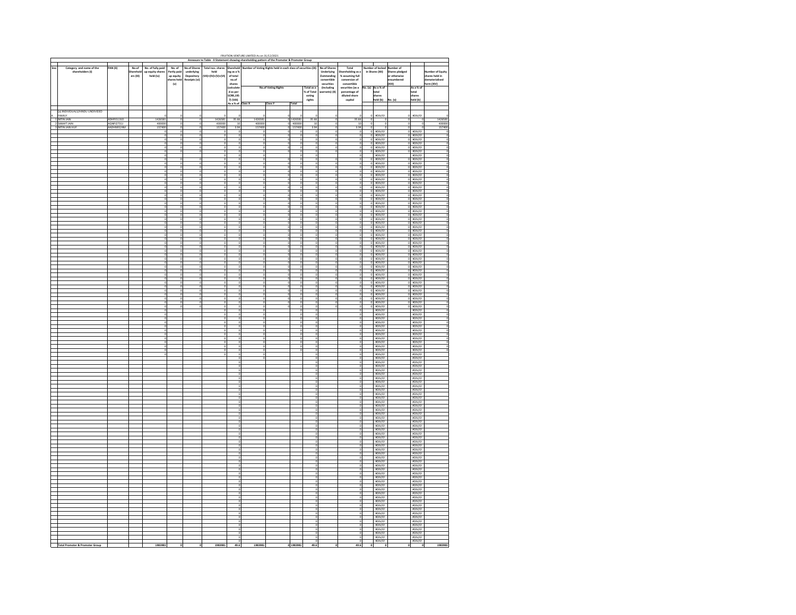|                                              |                                            |                          |                   |                                                    |                                    |                          |                     |                           | FRUITION VENTURE LIMITED As on 31/12/2021 |                                                                                                                                                                                                                                                   |                  |                           |                                                             |                                           |         |                                               |                                          |                                                                                                                                                                                                                                                                                               |                  |
|----------------------------------------------|--------------------------------------------|--------------------------|-------------------|----------------------------------------------------|------------------------------------|--------------------------|---------------------|---------------------------|-------------------------------------------|---------------------------------------------------------------------------------------------------------------------------------------------------------------------------------------------------------------------------------------------------|------------------|---------------------------|-------------------------------------------------------------|-------------------------------------------|---------|-----------------------------------------------|------------------------------------------|-----------------------------------------------------------------------------------------------------------------------------------------------------------------------------------------------------------------------------------------------------------------------------------------------|------------------|
| Sno                                          |                                            |                          |                   |                                                    |                                    | <b>No.of Share</b>       | Total nos. share    | Shareho                   |                                           | Annexure to Table - II Statement showing shareholding pattern of the Promoter & Promoter Group<br>menting parties and contained the contract and provided to the most contact the contract of Voting Rights held in each class of securities (IX) |                  |                           | No.of Shares                                                |                                           |         | <b>Harry</b><br>Moder of locke                |                                          |                                                                                                                                                                                                                                                                                               |                  |
| Category and name of the<br>shareholders (I) |                                            | PAN (II)                 | No.of<br>harehold | No. of fully pair<br>up equity shares<br>held (iv) | No. of<br>Partly paid<br>up equity | underlying<br>Depository | held                | ing as a %<br>of total    |                                           |                                                                                                                                                                                                                                                   |                  |                           | <b>Underlying</b><br>Outstanding                            | Total<br>Shareholding as a                |         | in Shares (XII)                               | per of<br>Shares pledged<br>or otherwise |                                                                                                                                                                                                                                                                                               | mber of Equity   |
|                                              |                                            |                          | ers (III)         |                                                    | hares held                         | Receipts (vi)            | (VII)=(IV)+(V)+(VI) | no.of                     |                                           |                                                                                                                                                                                                                                                   |                  | convertible               | % assuming full<br>conversion of                            |                                           |         | encumbered                                    |                                          | shares held in<br>lematerialised                                                                                                                                                                                                                                                              |                  |
|                                              |                                            |                          |                   |                                                    | $\left\{ \mathsf{v}\right\}$       |                          |                     | shares<br>(calculate      |                                           | No.of Voting Rights                                                                                                                                                                                                                               |                  | Total as a                | securities<br>convertible<br>securities (as a<br>(Including |                                           |         | lo. (a) As a % of                             | (x  )                                    | As a % of                                                                                                                                                                                                                                                                                     | orm (XIV)        |
|                                              |                                            |                          |                   |                                                    |                                    |                          |                     | d<br>as per<br>SCRR,195   |                                           |                                                                                                                                                                                                                                                   |                  | % of Total                | warrants) (X)                                               | percentage of<br>diluted share            |         | total                                         |                                          | total                                                                                                                                                                                                                                                                                         |                  |
|                                              |                                            |                          |                   |                                                    |                                    |                          |                     | 71 (VIII)                 |                                           |                                                                                                                                                                                                                                                   |                  | $_{\rm voting}$<br>rights |                                                             | capital                                   |         | .<br>harec<br>held (b)                        | No. (a)                                  | .<br>hares<br>held (b)                                                                                                                                                                                                                                                                        |                  |
|                                              |                                            |                          |                   |                                                    |                                    |                          |                     | As a % of                 | ass X                                     | Class Y                                                                                                                                                                                                                                           | Total            |                           |                                                             |                                           |         |                                               |                                          |                                                                                                                                                                                                                                                                                               |                  |
|                                              | (a) INDIVIDUALS/HINDU UNDIVIDED<br>FAMILY  |                          |                   |                                                    |                                    |                          |                     |                           |                                           |                                                                                                                                                                                                                                                   |                  |                           |                                                             |                                           |         |                                               |                                          |                                                                                                                                                                                                                                                                                               |                  |
| A                                            | 1 NITIN JAIN<br>2 SANHIT JAIN              | ADHPJ5131D               |                   | 1426581                                            |                                    |                          | 1426581             | 35.66                     | 1426581                                   |                                                                                                                                                                                                                                                   | 1426581          | 35.66                     | $\circ$                                                     | 35.66                                     |         | #DIV/0!                                       | $\Omega$                                 | #DIV/01                                                                                                                                                                                                                                                                                       | 1426581          |
|                                              | 3 NITIN JAIN HUI                           | AQNPJ2731J<br>AADHN9524M |                   | 400000<br>157400                                   |                                    |                          | 40000<br>15740      | 10<br>3.94                | 400000<br>157400                          |                                                                                                                                                                                                                                                   | 400000<br>157400 | 3.94                      |                                                             | 10<br>3.94                                |         |                                               |                                          |                                                                                                                                                                                                                                                                                               | 400000<br>157400 |
|                                              |                                            |                          |                   |                                                    |                                    |                          |                     | $\circ$                   | o                                         |                                                                                                                                                                                                                                                   |                  |                           | о                                                           | 0                                         |         | #DIV/01                                       |                                          | #DIV/0!                                                                                                                                                                                                                                                                                       |                  |
|                                              |                                            |                          |                   |                                                    |                                    |                          |                     | o                         | $^{\circ}$                                |                                                                                                                                                                                                                                                   |                  |                           | $\overline{0}$                                              | $\overline{0}$                            |         | #DIV/01<br>#DIV/01                            |                                          | $\frac{10}{10}$ = $\frac{10}{10}$ = $\frac{10}{10}$ = $\frac{10}{10}$ = $\frac{10}{10}$ = $\frac{10}{10}$ = $\frac{10}{10}$ = $\frac{10}{10}$ = $\frac{10}{10}$ = $\frac{10}{10}$ = $\frac{10}{10}$ = $\frac{10}{10}$ = $\frac{10}{10}$ = $\frac{10}{10}$ = $\frac{10}{10}$ = $\frac{10}{10}$ |                  |
|                                              |                                            |                          |                   |                                                    |                                    |                          |                     | o                         | $\circ$                                   |                                                                                                                                                                                                                                                   |                  |                           | $\circ$                                                     | $\circ$                                   |         | #DIV/0!<br>#DIV/0!                            | $\circ$                                  | #DIV/01<br>#DIV/0!                                                                                                                                                                                                                                                                            |                  |
|                                              |                                            |                          |                   |                                                    |                                    |                          |                     | 0<br>$\circ$              | $\overline{0}$<br>$\,$ 0                  |                                                                                                                                                                                                                                                   |                  |                           | $\overline{0}$                                              | $\circ$                                   |         | #DIV/0!<br>#DIV/0!                            |                                          | #DIV/0!<br>#DIV/0!                                                                                                                                                                                                                                                                            |                  |
|                                              |                                            |                          |                   |                                                    |                                    |                          |                     | $^{\circ}$<br>o           | $\overline{0}$<br>o                       |                                                                                                                                                                                                                                                   |                  |                           | $^{\circ}$                                                  | $\overline{0}$<br>$\overline{\mathbf{0}}$ |         | #DIV/0!                                       |                                          | $0$ $\pi$ DIV/01                                                                                                                                                                                                                                                                              |                  |
|                                              |                                            |                          |                   |                                                    |                                    |                          |                     | о                         | o                                         |                                                                                                                                                                                                                                                   |                  |                           | $\circ$                                                     | o                                         |         | #DIV/0!<br>#DIV/0!                            |                                          | #DIV/0!<br>$0$ $\pi$ DIV/0!                                                                                                                                                                                                                                                                   |                  |
|                                              |                                            |                          |                   |                                                    |                                    |                          |                     | $\overline{\mathbf{0}}$   | $\circ$                                   |                                                                                                                                                                                                                                                   |                  |                           | $\circ$                                                     |                                           |         | $\frac{\#D\vert V/0\vert}{\#D\vert V/0\vert}$ |                                          | 0 #DIV/01<br>0 #DIV/01                                                                                                                                                                                                                                                                        |                  |
|                                              |                                            |                          |                   |                                                    |                                    |                          |                     | o<br>o                    | $\overline{0}$<br>$\overline{\mathbf{0}}$ |                                                                                                                                                                                                                                                   |                  |                           | o<br>o                                                      | o<br>$\overline{\mathbf{0}}$              |         | $0$ #DIV/0!<br>#DIV/0!                        |                                          | $0$ $\pi$ DIV/0!<br>#DIV/0!                                                                                                                                                                                                                                                                   |                  |
|                                              |                                            |                          |                   |                                                    |                                    |                          |                     |                           | $^{\circ}$                                |                                                                                                                                                                                                                                                   |                  |                           | $^{\circ}$                                                  | $^{\circ}$                                |         | #DIV/0!                                       |                                          | $0$ $\pi$ DIV/0!                                                                                                                                                                                                                                                                              |                  |
|                                              |                                            |                          |                   |                                                    |                                    |                          |                     | $\Omega$                  |                                           |                                                                                                                                                                                                                                                   |                  |                           | $\Omega$                                                    |                                           |         | #DIV/0!<br>#DIV/0!                            | n.                                       | #DIV/01<br>#DIV/01                                                                                                                                                                                                                                                                            |                  |
|                                              |                                            |                          |                   |                                                    |                                    |                          |                     | $\Omega$                  | $\circ$                                   |                                                                                                                                                                                                                                                   |                  |                           | $\circ$                                                     | $\circ$                                   |         | #DIV/0!<br>#DIV/01                            |                                          | $0$ $\pi$ DIV/0!<br>ADIV/O!                                                                                                                                                                                                                                                                   |                  |
|                                              |                                            |                          |                   |                                                    |                                    |                          |                     | 0<br>$\overline{0}$       | $^{\circ}$<br>$\overline{a}$              |                                                                                                                                                                                                                                                   |                  |                           | $^{\circ}$<br>$\overline{0}$                                |                                           |         | #DIV/0!                                       |                                          | $0$ $\pi$ DIV/0!                                                                                                                                                                                                                                                                              |                  |
|                                              |                                            |                          |                   |                                                    |                                    |                          |                     | $\circ$                   |                                           |                                                                                                                                                                                                                                                   |                  |                           | о                                                           |                                           |         | #DIV/01<br>#DIV/01                            |                                          | $\frac{10}{10}$ aprv/01                                                                                                                                                                                                                                                                       |                  |
|                                              |                                            |                          |                   |                                                    |                                    |                          |                     | o                         |                                           |                                                                                                                                                                                                                                                   |                  |                           | $\circ$                                                     |                                           |         | #DIV/01<br>#DIV/01                            |                                          | 0 #DIV/01<br>0 #DIV/01                                                                                                                                                                                                                                                                        |                  |
|                                              |                                            |                          |                   |                                                    |                                    |                          |                     | $^{\circ}$<br>o           | $\circ$                                   |                                                                                                                                                                                                                                                   |                  |                           | $\circ$<br>o                                                | $^{\circ}$                                |         | #DIV/0!<br>#DIV/0!                            |                                          | #DIV/0!<br>#DIV/0!                                                                                                                                                                                                                                                                            |                  |
|                                              |                                            |                          |                   |                                                    |                                    |                          |                     | $\circ$                   | $\circ$                                   |                                                                                                                                                                                                                                                   |                  |                           | $\circ$                                                     | 0                                         |         | #DIV/0!<br>#DIV/0!                            |                                          | $0$ $4DIV/0!$                                                                                                                                                                                                                                                                                 |                  |
|                                              |                                            |                          |                   |                                                    |                                    |                          |                     | o                         | $^{\circ}$                                |                                                                                                                                                                                                                                                   |                  |                           | o                                                           | $^{\circ}$                                |         | #DIV/0!                                       |                                          | $0$ $\pi$ DIV/01<br>#DIV/01                                                                                                                                                                                                                                                                   |                  |
|                                              |                                            |                          |                   |                                                    |                                    |                          |                     | o                         | $\circ$                                   |                                                                                                                                                                                                                                                   |                  |                           | $\circ$                                                     | $\circ$                                   |         | #DIV/0!                                       | $\circ$                                  | #DIV/0!<br>#DIV/01                                                                                                                                                                                                                                                                            |                  |
|                                              |                                            |                          |                   |                                                    |                                    |                          |                     | $\circ$<br>o              | $\circ$<br>$\overline{0}$                 |                                                                                                                                                                                                                                                   |                  |                           | $\circ$<br>$\overline{\mathbf{0}}$                          | o<br>o                                    |         | #DIV/01<br>#DIV/01<br>#DIV/0!                 |                                          | 0 #DIV/01<br>$0$ $\pi$ DIV/01                                                                                                                                                                                                                                                                 |                  |
|                                              |                                            |                          |                   |                                                    |                                    |                          |                     | o                         | $\overline{\mathbf{0}}$                   |                                                                                                                                                                                                                                                   |                  |                           | o                                                           |                                           |         | #DIV/0!                                       |                                          | #DIV/0!                                                                                                                                                                                                                                                                                       |                  |
|                                              |                                            |                          |                   |                                                    |                                    |                          |                     | $\Omega$                  | $^{\circ}$                                |                                                                                                                                                                                                                                                   |                  |                           | $^{\circ}$<br>$\Omega$                                      |                                           |         | #DIV/0!                                       | n.                                       | $0$ $\pi$ DIV/0!                                                                                                                                                                                                                                                                              |                  |
|                                              |                                            |                          |                   |                                                    |                                    |                          |                     | o                         | $\Omega$                                  |                                                                                                                                                                                                                                                   |                  |                           | n.                                                          | $\Omega$                                  |         | #DIV/01<br>#DIV/01<br>#DIV/0!                 |                                          | #DIV/01<br>#DIV/01                                                                                                                                                                                                                                                                            |                  |
|                                              |                                            |                          |                   |                                                    |                                    |                          |                     |                           |                                           |                                                                                                                                                                                                                                                   |                  |                           |                                                             |                                           |         | #DIV/01                                       |                                          | 0 #DIV/0!<br>0 #DIV/0!                                                                                                                                                                                                                                                                        |                  |
|                                              |                                            |                          |                   |                                                    |                                    |                          |                     | $\circ$                   | $^{\circ}$<br>$\Omega$                    |                                                                                                                                                                                                                                                   |                  |                           | $^{\circ}$<br>$\circ$                                       |                                           |         | #DIV/0!<br>#DIV/01<br>#DIV/01                 |                                          | 0 #DIV/0!<br>$\frac{10\sqrt{10}}{10\sqrt{10}}$                                                                                                                                                                                                                                                |                  |
|                                              |                                            |                          |                   |                                                    |                                    |                          |                     | о<br>$^{\circ}$           | $\Omega$                                  |                                                                                                                                                                                                                                                   |                  |                           | о<br>n.                                                     |                                           |         |                                               |                                          |                                                                                                                                                                                                                                                                                               |                  |
|                                              |                                            |                          |                   |                                                    |                                    |                          |                     |                           |                                           |                                                                                                                                                                                                                                                   |                  |                           |                                                             |                                           |         | #DIV/01<br>#DIV/01                            |                                          | 0 #DIV/01<br>0 #DIV/01                                                                                                                                                                                                                                                                        |                  |
|                                              |                                            |                          |                   |                                                    |                                    |                          |                     | $^{\circ}$<br>o           | $\circ$<br>$\overline{0}$                 |                                                                                                                                                                                                                                                   |                  |                           | $\circ$                                                     | $^{\circ}$                                |         | #DIV/0!<br>#DIV/0!                            |                                          | $0$ $\pi$ DIV/0!<br>#DIV/0!                                                                                                                                                                                                                                                                   |                  |
|                                              |                                            |                          |                   |                                                    |                                    |                          |                     | $\circ$<br>$\circ$        | $\mathsf{O}$<br>$\circ$                   |                                                                                                                                                                                                                                                   |                  |                           |                                                             |                                           |         | #DIV/0!                                       |                                          | #DIV/0!                                                                                                                                                                                                                                                                                       |                  |
|                                              |                                            |                          |                   |                                                    |                                    |                          |                     |                           | $\circ$                                   |                                                                                                                                                                                                                                                   |                  |                           |                                                             | $^{\circ}$                                |         | #DIV/0!<br>#DIV/0!<br>#DIV/0!                 |                                          | #DIV/01<br>#DIV/0!                                                                                                                                                                                                                                                                            |                  |
|                                              |                                            |                          |                   |                                                    |                                    |                          |                     | o                         |                                           |                                                                                                                                                                                                                                                   |                  |                           |                                                             |                                           |         | #DIV/0!                                       |                                          | #DIV/0!                                                                                                                                                                                                                                                                                       |                  |
|                                              |                                            |                          |                   |                                                    |                                    |                          |                     | $\circ$<br>o              |                                           |                                                                                                                                                                                                                                                   |                  |                           |                                                             |                                           |         | #DIV/01<br>#DIV/01                            |                                          | #DIV/0!                                                                                                                                                                                                                                                                                       |                  |
|                                              |                                            |                          |                   |                                                    |                                    |                          |                     | $^{\circ}$                | $\mathsf 0$                               |                                                                                                                                                                                                                                                   |                  |                           |                                                             | $\circ$                                   |         | #DIV/0!<br>#DIV/0!                            |                                          | #DIV/01<br>#DIV/0!                                                                                                                                                                                                                                                                            |                  |
|                                              |                                            |                          |                   |                                                    |                                    |                          |                     |                           |                                           |                                                                                                                                                                                                                                                   |                  |                           |                                                             |                                           |         | #DIV/01<br>#DIV/01                            |                                          | #DIV/01                                                                                                                                                                                                                                                                                       |                  |
|                                              |                                            |                          |                   |                                                    |                                    |                          |                     | $\circ$<br>$\overline{0}$ |                                           |                                                                                                                                                                                                                                                   |                  |                           |                                                             |                                           |         | #DIV/0!                                       |                                          | #DIV/01<br>#DIV/01                                                                                                                                                                                                                                                                            |                  |
|                                              |                                            |                          |                   |                                                    |                                    |                          |                     |                           |                                           |                                                                                                                                                                                                                                                   |                  |                           |                                                             |                                           |         | #DIV/01<br>#DIV/0!                            |                                          | #DIV/0!                                                                                                                                                                                                                                                                                       |                  |
|                                              |                                            |                          |                   |                                                    |                                    |                          |                     | o                         |                                           |                                                                                                                                                                                                                                                   |                  |                           |                                                             |                                           |         | #DIV/01<br>#DIV/01                            |                                          | #DIV/01                                                                                                                                                                                                                                                                                       |                  |
|                                              |                                            |                          |                   |                                                    |                                    |                          |                     | a,                        |                                           |                                                                                                                                                                                                                                                   |                  |                           |                                                             |                                           |         | #DIV/0!<br>#DIV/0!                            |                                          | #DIV/01                                                                                                                                                                                                                                                                                       |                  |
|                                              |                                            |                          |                   |                                                    |                                    |                          |                     | o                         |                                           |                                                                                                                                                                                                                                                   |                  |                           |                                                             |                                           |         | #DIV/01                                       |                                          | #DIV/0!                                                                                                                                                                                                                                                                                       |                  |
|                                              |                                            |                          |                   |                                                    |                                    |                          |                     | o<br>$\circ$              |                                           |                                                                                                                                                                                                                                                   |                  |                           |                                                             |                                           |         | #DIV/0!<br>#DIV/0!                            |                                          | #DIV/0!<br>#DIV/0!                                                                                                                                                                                                                                                                            |                  |
|                                              |                                            |                          |                   |                                                    |                                    |                          |                     | $\circ$                   |                                           |                                                                                                                                                                                                                                                   |                  |                           |                                                             |                                           |         | #DIV/01<br>#DIV/01                            |                                          | #DIV/01                                                                                                                                                                                                                                                                                       |                  |
|                                              |                                            |                          |                   |                                                    |                                    |                          |                     | $\circ$                   |                                           |                                                                                                                                                                                                                                                   |                  |                           |                                                             | $^{\circ}$                                |         | #DIV/0!                                       |                                          | #DIV/0!                                                                                                                                                                                                                                                                                       |                  |
|                                              |                                            |                          |                   |                                                    |                                    |                          |                     | 0<br>$\circ$              |                                           |                                                                                                                                                                                                                                                   |                  |                           |                                                             |                                           |         | #DIV/0!<br>#DIV/0!                            |                                          | #DIV/0!<br>#DIV/0!                                                                                                                                                                                                                                                                            |                  |
|                                              |                                            |                          |                   |                                                    |                                    |                          |                     | o                         |                                           |                                                                                                                                                                                                                                                   |                  |                           |                                                             |                                           |         | #DIV/01<br>#DIV/01                            |                                          | #DIV/01                                                                                                                                                                                                                                                                                       |                  |
|                                              |                                            |                          |                   |                                                    |                                    |                          |                     | $^{\circ}$                |                                           |                                                                                                                                                                                                                                                   |                  |                           |                                                             | $^{\circ}$                                |         | #DIV/0!                                       |                                          | #DIV/0!                                                                                                                                                                                                                                                                                       |                  |
|                                              |                                            |                          |                   |                                                    |                                    |                          |                     | $\circ$                   |                                           |                                                                                                                                                                                                                                                   |                  |                           |                                                             |                                           |         | #DIV/01<br>#DIV/01<br>#DIV/01                 |                                          | #DIV/0<br>#DIV/01                                                                                                                                                                                                                                                                             |                  |
|                                              |                                            |                          |                   |                                                    |                                    |                          |                     | $^{\circ}$                |                                           |                                                                                                                                                                                                                                                   |                  |                           |                                                             |                                           |         | #DIV/0!                                       |                                          | #DIV/0!                                                                                                                                                                                                                                                                                       |                  |
|                                              |                                            |                          |                   |                                                    |                                    |                          |                     |                           |                                           |                                                                                                                                                                                                                                                   |                  |                           |                                                             |                                           |         | #DIV/01                                       |                                          | #DIV/0!                                                                                                                                                                                                                                                                                       |                  |
|                                              |                                            |                          |                   |                                                    |                                    |                          |                     | $\circ$                   |                                           |                                                                                                                                                                                                                                                   |                  |                           |                                                             |                                           |         | #DIV/01<br>#DIV/01                            |                                          | #DIV/0<br>#DIV/0!                                                                                                                                                                                                                                                                             |                  |
|                                              |                                            |                          |                   |                                                    |                                    |                          |                     | $^{\circ}$                |                                           |                                                                                                                                                                                                                                                   |                  |                           |                                                             |                                           |         | #DIV/01<br>#DIV/01                            |                                          | #DIV/01                                                                                                                                                                                                                                                                                       |                  |
|                                              |                                            |                          |                   |                                                    |                                    |                          |                     | o                         |                                           |                                                                                                                                                                                                                                                   |                  |                           |                                                             |                                           |         | #DIV/01                                       |                                          | #DIV/0!                                                                                                                                                                                                                                                                                       |                  |
|                                              |                                            |                          |                   |                                                    |                                    |                          |                     | о                         |                                           |                                                                                                                                                                                                                                                   |                  |                           |                                                             |                                           |         | #DIV/01<br>#DIV/01                            |                                          | #DIV/01<br>#DIV/01                                                                                                                                                                                                                                                                            |                  |
|                                              |                                            |                          |                   |                                                    |                                    |                          |                     | o<br>$\circ$              |                                           |                                                                                                                                                                                                                                                   |                  |                           |                                                             |                                           |         | #DIV/0!<br>#DIV/0!                            |                                          | #DIV/01                                                                                                                                                                                                                                                                                       |                  |
|                                              |                                            |                          |                   |                                                    |                                    |                          |                     |                           |                                           |                                                                                                                                                                                                                                                   |                  |                           |                                                             |                                           |         | #DIV/01                                       |                                          | #DIV/0!                                                                                                                                                                                                                                                                                       |                  |
|                                              |                                            |                          |                   |                                                    |                                    |                          |                     | o<br>$\circ$              |                                           |                                                                                                                                                                                                                                                   |                  |                           |                                                             |                                           |         | #DIV/0!<br>#DIV/0!                            |                                          | #DIV/0!<br>#DIV/0!                                                                                                                                                                                                                                                                            |                  |
|                                              |                                            |                          |                   |                                                    |                                    |                          |                     | o                         |                                           |                                                                                                                                                                                                                                                   |                  |                           |                                                             |                                           |         | #DIV/0!<br>#DIV/0!                            |                                          | #DIV/01                                                                                                                                                                                                                                                                                       |                  |
|                                              |                                            |                          |                   |                                                    |                                    |                          |                     | $^{\circ}$<br>o           |                                           |                                                                                                                                                                                                                                                   |                  |                           |                                                             | $^{\circ}$                                |         | #DIV/0!<br>#DIV/01                            |                                          | #DIV/0!<br>#DIV/0!                                                                                                                                                                                                                                                                            |                  |
|                                              |                                            |                          |                   |                                                    |                                    |                          |                     | о                         |                                           |                                                                                                                                                                                                                                                   |                  |                           |                                                             |                                           |         | #DIV/0!                                       |                                          | #DIV/0!                                                                                                                                                                                                                                                                                       |                  |
|                                              |                                            |                          |                   |                                                    |                                    |                          |                     | $\Omega$                  |                                           |                                                                                                                                                                                                                                                   |                  |                           |                                                             |                                           |         | #DIV/0!<br>#DIV/0!                            |                                          | apry/ol<br>apry/ol                                                                                                                                                                                                                                                                            |                  |
|                                              |                                            |                          |                   |                                                    |                                    |                          |                     | n                         |                                           |                                                                                                                                                                                                                                                   |                  |                           |                                                             | $\Omega$                                  |         | #DIV/01                                       |                                          | #DIV/0!<br>#DIV/0                                                                                                                                                                                                                                                                             |                  |
|                                              |                                            |                          |                   |                                                    |                                    |                          |                     | $\circ$                   |                                           |                                                                                                                                                                                                                                                   |                  |                           |                                                             | $^{\circ}$                                |         | <b>#DIV/01</b><br>#DIV/01<br>#DIV/01          |                                          | #DIV/0!                                                                                                                                                                                                                                                                                       |                  |
|                                              |                                            |                          |                   |                                                    |                                    |                          |                     | $^{\circ}$<br>$\circ$     |                                           |                                                                                                                                                                                                                                                   |                  |                           |                                                             |                                           |         | #DIV/01                                       |                                          | #DIV/01                                                                                                                                                                                                                                                                                       |                  |
|                                              | <b>Total Promoter &amp; Promoter Group</b> |                          |                   | 1983981                                            |                                    |                          | 1983981             | 49.6                      | 1983981                                   |                                                                                                                                                                                                                                                   | 0 1983981        | 49.6                      |                                                             | 49.6                                      | $\circ$ | $\Omega$                                      | $\circ$                                  | $\circ$                                                                                                                                                                                                                                                                                       | 1983981          |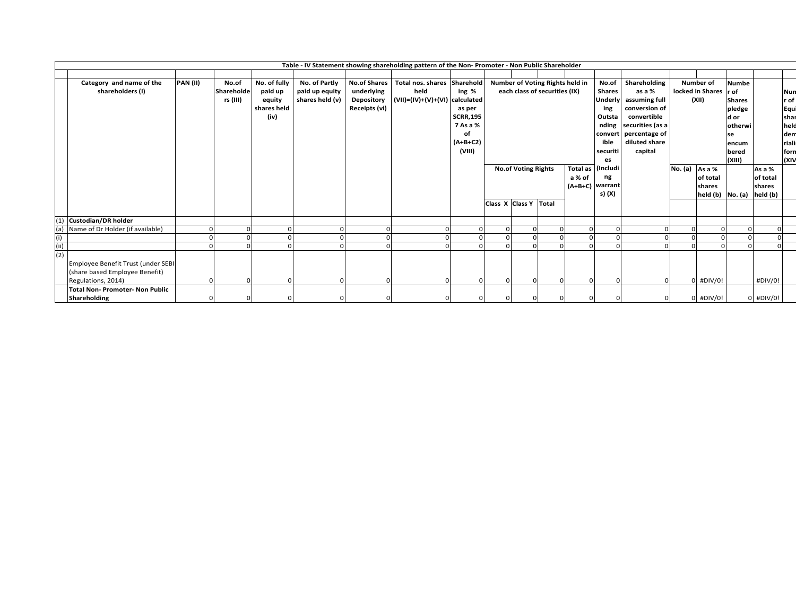|     | Table - IV Statement showing shareholding pattern of the Non- Promoter - Non Public Shareholder |                 |            |              |                 |                     |                             |                 |  |                                               |                                 |  |                |                  |                |                       |                 |             |               |
|-----|-------------------------------------------------------------------------------------------------|-----------------|------------|--------------|-----------------|---------------------|-----------------------------|-----------------|--|-----------------------------------------------|---------------------------------|--|----------------|------------------|----------------|-----------------------|-----------------|-------------|---------------|
|     |                                                                                                 |                 |            |              |                 |                     |                             |                 |  |                                               |                                 |  |                |                  |                |                       |                 |             |               |
|     | Category and name of the                                                                        | <b>PAN (II)</b> | No.of      | No. of fully | No. of Partly   | <b>No.of Shares</b> | Total nos. shares Sharehold |                 |  |                                               | Number of Voting Rights held in |  | No.of          | Shareholding     |                | <b>Number of</b>      | <b>Numbe</b>    |             |               |
|     | shareholders (I)                                                                                |                 | Shareholde | paid up      | paid up equity  | underlying          | held                        | ing %           |  |                                               | each class of securities (IX)   |  | <b>Shares</b>  | as a %           |                | locked in Shares r of |                 |             | Nun           |
|     |                                                                                                 |                 | rs (III)   | equity       | shares held (v) | Depository          | (VII)=(IV)+(V)+(VI)         | calculated      |  |                                               |                                 |  | <b>Underly</b> | assuming full    |                | (XII)                 | <b>Shares</b>   |             | r of          |
|     |                                                                                                 |                 |            | shares held  |                 | Receipts (vi)       |                             | as per          |  |                                               |                                 |  | ing            | conversion of    |                |                       | pledge          |             | Equi          |
|     |                                                                                                 |                 |            | (iv)         |                 |                     |                             | <b>SCRR,195</b> |  |                                               |                                 |  | Outsta         | convertible      |                |                       | d or            |             | shar          |
|     |                                                                                                 |                 |            |              |                 |                     |                             | 7 As a %        |  |                                               |                                 |  | nding          | securities (as a |                |                       | <b>lotherwi</b> |             | held          |
|     |                                                                                                 |                 |            |              |                 |                     |                             | οf              |  |                                               |                                 |  | convert        | percentage of    |                |                       | se              |             | dem           |
|     |                                                                                                 |                 |            |              |                 |                     |                             | $(A+B+C2)$      |  |                                               |                                 |  | ible           | diluted share    |                |                       | encum           |             | <b>riali:</b> |
|     |                                                                                                 |                 |            |              |                 |                     |                             | (VIII)          |  | securiti                                      |                                 |  |                | capital          |                |                       | bered           |             | forn          |
|     |                                                                                                 |                 |            |              |                 |                     |                             |                 |  |                                               |                                 |  | es             |                  |                |                       | (XIII)          |             | (XIV          |
|     |                                                                                                 |                 |            |              |                 |                     |                             |                 |  | <b>No.of Voting Rights</b><br><b>Total as</b> |                                 |  | (Includi       |                  | No. (a) As a % |                       |                 | As a %      |               |
|     |                                                                                                 |                 |            |              |                 |                     |                             |                 |  | a % of                                        |                                 |  | ng             |                  |                | of total              |                 | of total    |               |
|     |                                                                                                 |                 |            |              |                 |                     |                             |                 |  | (A+B+C) warrant                               |                                 |  |                |                  |                | shares                |                 | shares      |               |
|     |                                                                                                 |                 |            |              |                 |                     |                             |                 |  |                                               |                                 |  | s) (X)         |                  |                | held $(b)$ No. $(a)$  |                 | held (b)    |               |
|     |                                                                                                 |                 |            |              |                 |                     |                             |                 |  | Class X Class Y Total                         |                                 |  |                |                  |                |                       |                 |             |               |
|     |                                                                                                 |                 |            |              |                 |                     |                             |                 |  |                                               |                                 |  |                |                  |                |                       |                 |             |               |
| (1) | <b>Custodian/DR holder</b>                                                                      |                 |            |              |                 |                     |                             |                 |  |                                               |                                 |  |                |                  |                |                       |                 |             |               |
| (a) | Name of Dr Holder (if available)                                                                |                 |            |              | $\Omega$        |                     |                             |                 |  |                                               |                                 |  |                |                  |                |                       |                 |             |               |
| (i) |                                                                                                 |                 |            |              | $\Omega$        |                     |                             |                 |  |                                               |                                 |  |                |                  |                |                       |                 |             |               |
| (i) |                                                                                                 |                 |            |              | $\Omega$        |                     |                             |                 |  |                                               |                                 |  |                |                  |                |                       |                 |             |               |
| (2) |                                                                                                 |                 |            |              |                 |                     |                             |                 |  |                                               |                                 |  |                |                  |                |                       |                 |             |               |
|     | Employee Benefit Trust (under SEBI                                                              |                 |            |              |                 |                     |                             |                 |  |                                               |                                 |  |                |                  |                |                       |                 |             |               |
|     | (share based Employee Benefit)                                                                  |                 |            |              |                 |                     |                             |                 |  |                                               |                                 |  |                |                  |                |                       |                 |             |               |
|     | Regulations, 2014)                                                                              |                 |            |              | $\Omega$        |                     |                             |                 |  |                                               |                                 |  |                |                  |                | #DIV/0!               |                 | #DIV/0!     |               |
|     | <b>Total Non-Promoter-Non Public</b>                                                            |                 |            |              |                 |                     |                             |                 |  |                                               |                                 |  |                |                  |                |                       |                 |             |               |
|     | Shareholding                                                                                    |                 |            |              | $\Omega$        |                     |                             |                 |  |                                               |                                 |  |                |                  |                | #DIV/0!               |                 | $0$ #DIV/0! |               |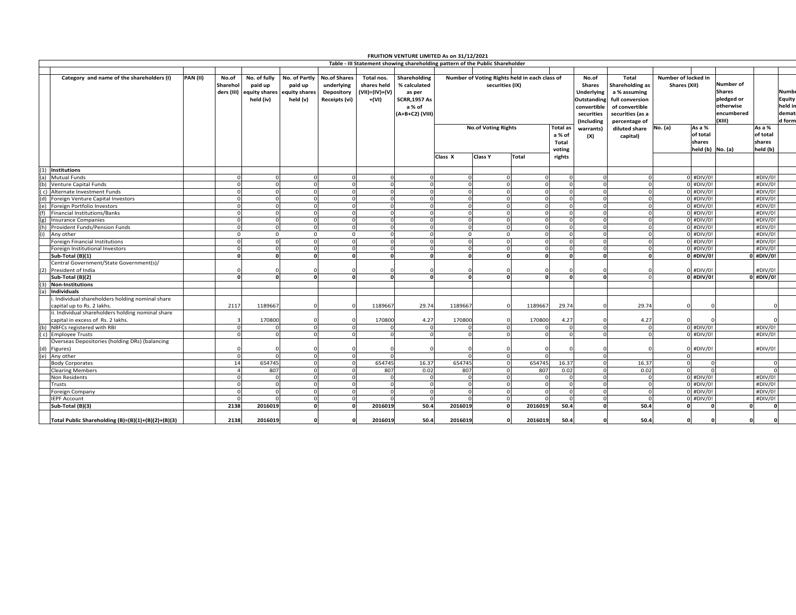|     |                                                                              |                 |                      |                                                                  |                                                       |                                                                         |                                                      | FRUITION VENTURE LIMITED As on 31/12/2021                      |          |                                                                                                                 |                                |          |                                                            |                                                                    |                                                       |                                   |                                          |                                   |
|-----|------------------------------------------------------------------------------|-----------------|----------------------|------------------------------------------------------------------|-------------------------------------------------------|-------------------------------------------------------------------------|------------------------------------------------------|----------------------------------------------------------------|----------|-----------------------------------------------------------------------------------------------------------------|--------------------------------|----------|------------------------------------------------------------|--------------------------------------------------------------------|-------------------------------------------------------|-----------------------------------|------------------------------------------|-----------------------------------|
|     | Table - III Statement showing shareholding pattern of the Public Shareholder |                 |                      |                                                                  |                                                       |                                                                         |                                                      |                                                                |          |                                                                                                                 |                                |          |                                                            |                                                                    |                                                       |                                   |                                          |                                   |
|     | Number of Voting Rights held in each class of                                |                 |                      |                                                                  |                                                       |                                                                         |                                                      |                                                                |          |                                                                                                                 |                                |          |                                                            |                                                                    |                                                       |                                   |                                          |                                   |
|     | Category and name of the shareholders (I)                                    | <b>PAN (II)</b> | No.of<br>Sharehol    | No. of fully<br>paid up<br>ders (III) equity shares<br>held (iv) | No. of Partly<br>paid up<br>equity shares<br>held (v) | <b>No.of Shares</b><br>underlying<br><b>Depository</b><br>Receipts (vi) | Total nos.<br>shares held<br>(VII)=(IV)+(V)<br>+(VI) | Shareholding<br>% calculated<br>as per<br><b>SCRR, 1957 As</b> |          | securities (IX)                                                                                                 |                                |          | No.of<br><b>Shares</b><br>Underlying<br><b>Outstanding</b> | <b>Total</b><br>Shareholding as<br>a % assuming<br>full conversion | Number of locked in<br>Shares (XII)<br>of convertible |                                   |                                          | Numbe<br><b>Equity</b><br>held in |
|     |                                                                              |                 |                      |                                                                  |                                                       |                                                                         |                                                      | a % of<br>(A+B+C2) (VIII)                                      |          |                                                                                                                 |                                |          | convertible<br>securities<br>(Including                    | securities (as a<br>percentage of                                  |                                                       | otherwise<br>encumbered<br>(XIII) |                                          | demat<br>d form                   |
|     |                                                                              |                 |                      |                                                                  |                                                       |                                                                         |                                                      |                                                                | Class X  | <b>No.of Voting Rights</b><br><b>Total</b> as<br>a % of<br>Total<br>voting<br><b>Class Y</b><br>Total<br>rights |                                |          |                                                            | diluted share<br>capital)                                          | As a %<br>No. (a)<br>of total<br>shares               | held (b) No. (a)                  | As a %<br>of total<br>shares<br>held (b) |                                   |
|     |                                                                              |                 |                      |                                                                  |                                                       |                                                                         |                                                      |                                                                |          |                                                                                                                 |                                |          |                                                            |                                                                    |                                                       |                                   |                                          |                                   |
|     | (1) Institutions                                                             |                 |                      |                                                                  |                                                       |                                                                         |                                                      |                                                                |          |                                                                                                                 |                                |          |                                                            |                                                                    |                                                       |                                   |                                          |                                   |
|     | (a) Mutual Funds                                                             |                 | $\Omega$             |                                                                  | $\Omega$                                              | $\Omega$                                                                | $\Omega$                                             |                                                                | $\Omega$ |                                                                                                                 | $\Omega$<br>$\Omega$           | $\Omega$ | $\Omega$                                                   | $\Omega$                                                           | $0$ #DIV/0!                                           |                                   | #DIV/0                                   |                                   |
|     | (b) Venture Capital Funds                                                    |                 | $\Omega$             |                                                                  | $\Omega$                                              | <sub>o</sub>                                                            | $\mathbf 0$                                          |                                                                | $\Omega$ |                                                                                                                 | $\Omega$<br>$\Omega$           | $\circ$  | $\Omega$                                                   | $\Omega$                                                           | $0$ #DIV/0!                                           |                                   | #DIV/0                                   |                                   |
|     | (c) Alternate Investment Funds                                               |                 | $\Omega$             |                                                                  | $\Omega$                                              | <sub>o</sub>                                                            | $\mathbf 0$                                          |                                                                | $\Omega$ |                                                                                                                 | $\Omega$<br>$\Omega$           | $\Omega$ | $\Omega$                                                   | $\Omega$                                                           | $0$ #DIV/0!                                           |                                   | #DIV/0                                   |                                   |
| (d) | Foreign Venture Capital Investors                                            |                 | $\Omega$             |                                                                  | $\Omega$                                              | <sub>o</sub>                                                            | $\mathbf 0$                                          |                                                                | $\Omega$ |                                                                                                                 | $\Omega$<br>$\Omega$           | $\Omega$ | $\Omega$                                                   | $\Omega$                                                           | $0$ #DIV/0!                                           |                                   | #DIV/0                                   |                                   |
| (e) | Foreign Portfolio Investors                                                  |                 | $\Omega$             |                                                                  | $\Omega$                                              | <sub>o</sub>                                                            | $\mathbf 0$                                          |                                                                | $\Omega$ |                                                                                                                 | $\Omega$<br>$\Omega$           | $\Omega$ | $\Omega$                                                   | $\Omega$                                                           | $0$ #DIV/0!                                           |                                   | #DIV/0                                   |                                   |
| (f) | Financial Institutions/Banks                                                 |                 | $\Omega$             |                                                                  | $\Omega$                                              | <sub>o</sub>                                                            | $\overline{0}$                                       |                                                                | $\Omega$ |                                                                                                                 | $\Omega$<br>$\Omega$           | $\Omega$ | $\Omega$                                                   | $\Omega$                                                           | $0$ #DIV/0!                                           |                                   | #DIV/0                                   |                                   |
|     | (g) Insurance Companies                                                      |                 | $\Omega$             |                                                                  | $\Omega$                                              | <sub>o</sub>                                                            | $\Omega$                                             |                                                                | $\Omega$ |                                                                                                                 | $\Omega$<br>$\Omega$           | $\Omega$ | $\Omega$                                                   |                                                                    | $0$ #DIV/0!                                           |                                   | #DIV/0!                                  |                                   |
| (h) | Provident Funds/Pension Funds                                                |                 | $\Omega$             |                                                                  | $\Omega$                                              | $\Omega$                                                                | $\Omega$                                             |                                                                | $\Omega$ |                                                                                                                 | $\Omega$                       | $\Omega$ | $\Omega$                                                   |                                                                    | $0$ #DIV/0!                                           |                                   | #DIV/0                                   |                                   |
| (i) | Any other                                                                    |                 | $\Omega$             | $\Omega$                                                         | $\Omega$                                              | $\Omega$                                                                | $\Omega$                                             |                                                                | $\Omega$ |                                                                                                                 | $\Omega$                       | $\Omega$ | $\Omega$                                                   |                                                                    | $0$ #DIV/0!                                           |                                   | #DIV/0!                                  |                                   |
|     | Foreign Financial Institutions                                               |                 | $\Omega$             |                                                                  | $\Omega$                                              | <sub>o</sub>                                                            | $\Omega$                                             |                                                                | $\Omega$ |                                                                                                                 | $\Omega$<br>$\Omega$           | $\Omega$ | $\Omega$                                                   | $\Omega$                                                           | $0$ #DIV/0!                                           |                                   | #DIV/0                                   |                                   |
|     | Foreign Institutional Investors                                              |                 | $\Omega$             |                                                                  | $\Omega$                                              | $\Omega$                                                                | $\mathbf 0$                                          |                                                                | $\Omega$ |                                                                                                                 | $\Omega$<br>$\Omega$           | $\Omega$ | $\Omega$                                                   | $\Omega$                                                           | $0$ #DIV/0!                                           |                                   | #DIV/0                                   |                                   |
|     | Sub-Total (B)(1)                                                             |                 | $\Omega$             |                                                                  | $\Omega$                                              | 0                                                                       | $\Omega$                                             |                                                                | O        |                                                                                                                 | $\Omega$<br>$\Omega$           | U        | $\Omega$                                                   | $\Omega$                                                           | 0 #DIV/0!                                             |                                   | #DIV/0!                                  |                                   |
|     | Central Government/State Government(s)/                                      |                 |                      |                                                                  |                                                       |                                                                         |                                                      |                                                                |          |                                                                                                                 |                                |          |                                                            |                                                                    |                                                       |                                   |                                          |                                   |
|     | (2) President of India                                                       |                 |                      |                                                                  |                                                       |                                                                         |                                                      |                                                                |          |                                                                                                                 |                                |          |                                                            |                                                                    | $0$ #DIV/0!                                           |                                   | #DIV/0!                                  |                                   |
|     | Sub-Total (B)(2)                                                             |                 | $\mathbf{0}$         |                                                                  | $\Omega$                                              | ol                                                                      | $\mathbf{0}$                                         |                                                                | $\Omega$ |                                                                                                                 | $\mathbf{o}$<br>$\Omega$       | $\Omega$ | $\Omega$                                                   |                                                                    | $0$ #DIV/0!                                           |                                   | 0 #DIV/0!                                |                                   |
|     | (3) Non-Institutions                                                         |                 |                      |                                                                  |                                                       |                                                                         |                                                      |                                                                |          |                                                                                                                 |                                |          |                                                            |                                                                    |                                                       |                                   |                                          |                                   |
| (a) | Individuals                                                                  |                 |                      |                                                                  |                                                       |                                                                         |                                                      |                                                                |          |                                                                                                                 |                                |          |                                                            |                                                                    |                                                       |                                   |                                          |                                   |
|     | . Individual shareholders holding nominal share                              |                 |                      |                                                                  |                                                       |                                                                         |                                                      |                                                                |          |                                                                                                                 |                                |          |                                                            |                                                                    |                                                       |                                   |                                          |                                   |
|     | capital up to Rs. 2 lakhs.                                                   |                 | 2117                 | 1189667                                                          | $\Omega$                                              | n                                                                       | 1189667                                              | 29.74                                                          | 1189667  |                                                                                                                 | 1189667                        | 29.74    | $\Omega$                                                   | 29.74                                                              | $\Omega$                                              |                                   |                                          |                                   |
|     | ii. Individual shareholders holding nominal share                            |                 |                      |                                                                  |                                                       |                                                                         |                                                      |                                                                |          |                                                                                                                 |                                |          |                                                            |                                                                    |                                                       |                                   |                                          |                                   |
|     | capital in excess of Rs. 2 lakhs.                                            |                 |                      | 170800                                                           | $\Omega$                                              | $\Omega$                                                                | 170800                                               | 4.27                                                           | 170800   |                                                                                                                 | 170800                         | 4.27     | $\Omega$                                                   | 4.27                                                               |                                                       |                                   |                                          |                                   |
|     | NBFCs registered with RBI                                                    |                 | $\Omega$             |                                                                  | $\Omega$                                              | $\Omega$                                                                | $\mathbf 0$                                          |                                                                | $\Omega$ |                                                                                                                 | $\Omega$                       | $\Omega$ | $\mathbf 0$                                                | $\Omega$                                                           | $0$ #DIV/0!                                           |                                   | #DIV/0                                   |                                   |
| (b) | (c) Employee Trusts                                                          |                 | $\Omega$             |                                                                  | $\Omega$                                              | $\Omega$                                                                | $\mathbf 0$                                          |                                                                | $\Omega$ |                                                                                                                 | $\Omega$<br>$\Omega$           | $\Omega$ | $\Omega$                                                   | $\Omega$                                                           | $0$ #DIV/0!                                           |                                   | #DIV/0                                   |                                   |
|     | Overseas Depositories (holding DRs) (balancing                               |                 |                      |                                                                  |                                                       |                                                                         |                                                      |                                                                |          |                                                                                                                 |                                |          |                                                            |                                                                    |                                                       |                                   |                                          |                                   |
|     |                                                                              |                 |                      |                                                                  |                                                       |                                                                         |                                                      |                                                                |          |                                                                                                                 |                                |          |                                                            |                                                                    |                                                       |                                   |                                          |                                   |
|     | (d) Figures)                                                                 |                 | $\Omega$<br>$\Omega$ |                                                                  | $\Omega$<br>$\Omega$                                  | $\Omega$                                                                | $\Omega$<br>$\Omega$                                 |                                                                |          |                                                                                                                 | $\circ$                        |          | 0<br>$\Omega$                                              |                                                                    | $0$ #DIV/0!                                           |                                   | #DIV/0!                                  |                                   |
|     | (e) Any other                                                                |                 |                      |                                                                  |                                                       |                                                                         |                                                      |                                                                |          |                                                                                                                 |                                |          |                                                            |                                                                    |                                                       |                                   |                                          |                                   |
|     | <b>Body Corporates</b>                                                       |                 | 14                   | 654745                                                           | $\Omega$                                              | $\Omega$                                                                | 654745                                               | 16.37                                                          | 654745   |                                                                                                                 | 654745<br>$\Omega$<br>$\Omega$ | 16.37    | $\mathbf 0$                                                | 16.37                                                              |                                                       |                                   |                                          |                                   |
|     | <b>Clearing Members</b>                                                      |                 | $\Delta$             | 807                                                              | $\Omega$                                              | $\Omega$                                                                | 807                                                  | 0.02                                                           | 807      |                                                                                                                 | 807                            | 0.02     | $\Omega$                                                   | 0.02                                                               |                                                       |                                   |                                          |                                   |
|     | Non Residents                                                                |                 | $\Omega$             |                                                                  | $\Omega$                                              | <sub>o</sub>                                                            | $\mathbf 0$                                          |                                                                |          |                                                                                                                 | $\Omega$                       | $\Omega$ | $\Omega$                                                   | $\Omega$                                                           | $0$ #DIV/0!                                           |                                   | #DIV/0!                                  |                                   |
|     | Trusts                                                                       |                 | $\Omega$             |                                                                  | $\Omega$                                              | $\Omega$                                                                | $\Omega$                                             |                                                                |          |                                                                                                                 | $\Omega$                       | $\Omega$ | $\Omega$                                                   | $\Omega$                                                           | $0$ #DIV/0!                                           |                                   | #DIV/0                                   |                                   |
|     | Foreign Company                                                              |                 | $\Omega$             |                                                                  | $\Omega$                                              | <sub>o</sub>                                                            | $\Omega$                                             |                                                                | $\Omega$ |                                                                                                                 | $\Omega$                       | $\Omega$ | $\Omega$                                                   | $\Omega$                                                           | $0$ #DIV/0!                                           |                                   | #DIV/0                                   |                                   |
|     | <b>IEPF Account</b>                                                          |                 | $\Omega$             |                                                                  | $\Omega$                                              | $\Omega$                                                                | $\Omega$                                             |                                                                | $\Omega$ |                                                                                                                 | $\Omega$<br>$\Omega$           | $\Omega$ | $\Omega$                                                   | O                                                                  | $0$ #DIV/0!                                           |                                   | #DIV/0                                   |                                   |
|     | Sub-Total (B)(3)                                                             |                 | 2138                 | 2016019                                                          | $\Omega$                                              | ol                                                                      | 2016019                                              | 50.4                                                           | 2016019  |                                                                                                                 | ol<br>2016019                  | 50.4     | ol                                                         | 50.4                                                               | O                                                     |                                   |                                          |                                   |
|     | Total Public Shareholding (B)=(B)(1)+(B)(2)+(B)(3)                           |                 | 2138                 | 2016019                                                          | $\Omega$                                              | $\Omega$                                                                | 2016019                                              | 50.4                                                           | 2016019  |                                                                                                                 | 2016019<br>U                   | 50.4     | O                                                          | 50.4                                                               | O                                                     |                                   |                                          |                                   |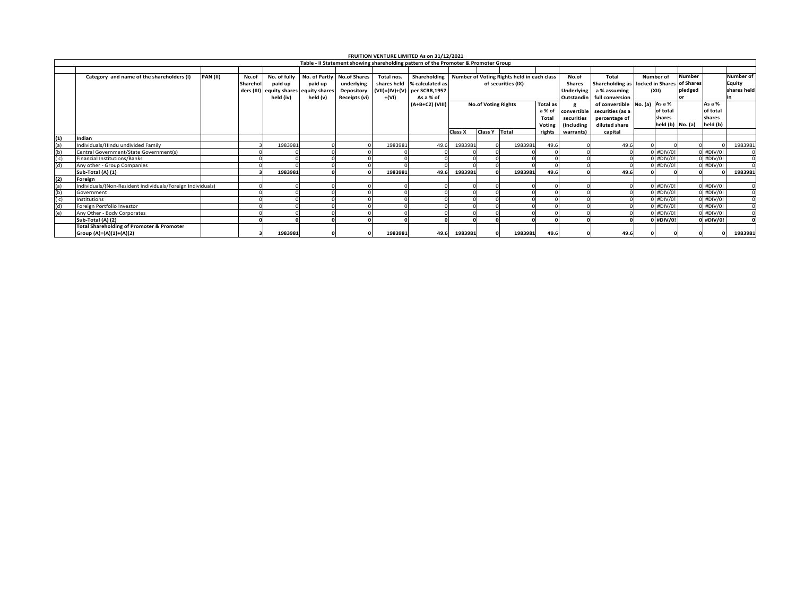|     | FRUITION VENTURE LIMITED As on 31/12/2021<br>Table - II Statement showing shareholding pattern of the Promoter & Promoter Group |                 |          |              |                                        |                              |            |                                                         |                |                            |                    |                 |               |                                  |             |                  |             |                  |
|-----|---------------------------------------------------------------------------------------------------------------------------------|-----------------|----------|--------------|----------------------------------------|------------------------------|------------|---------------------------------------------------------|----------------|----------------------------|--------------------|-----------------|---------------|----------------------------------|-------------|------------------|-------------|------------------|
|     |                                                                                                                                 |                 |          |              |                                        |                              |            |                                                         |                |                            |                    |                 |               |                                  |             |                  |             |                  |
|     |                                                                                                                                 |                 |          |              |                                        |                              |            |                                                         |                |                            |                    |                 |               |                                  |             |                  |             |                  |
|     | Category and name of the shareholders (I)                                                                                       | <b>PAN (II)</b> | No.of    | No. of fully |                                        | No. of Partly   No.of Shares | Total nos. | Shareholding Number of Voting Rights held in each class |                |                            |                    |                 | No.of         | Total                            | Number of   | <b>Number</b>    |             | <b>Number of</b> |
|     |                                                                                                                                 |                 | Sharehol | paid up      | paid up                                | underlying                   |            | shares held % calculated as                             |                |                            | of securities (IX) |                 | <b>Shares</b> | Shareholding as locked in Shares |             | of Shares        |             | Equity           |
|     |                                                                                                                                 |                 |          |              | ders (III) equity shares equity shares | <b>Depository</b>            |            | (VII)=(IV)+(V) per SCRR,1957                            |                |                            |                    |                 | Underlying    | a % assuming                     | (XII)       | pledged          |             | shares held      |
|     |                                                                                                                                 |                 |          | held (iv)    | held (v)                               | Receipts (vi)                | +(VI)      | As a % of                                               |                |                            |                    |                 | Outstandin    | full conversion                  |             |                  |             |                  |
|     |                                                                                                                                 |                 |          |              |                                        |                              |            | (A+B+C2) (VIII)                                         |                | <b>No.of Voting Rights</b> |                    | Total as        |               | of convertible No. (a) As a %    |             |                  | As a %      |                  |
|     |                                                                                                                                 |                 |          |              |                                        |                              |            |                                                         |                | a % of                     |                    |                 | convertible   | securities (as a                 | of total    |                  | of total    |                  |
|     |                                                                                                                                 |                 |          |              |                                        |                              |            |                                                         |                |                            |                    |                 | securities    | percentage of                    | shares      |                  | shares      |                  |
|     |                                                                                                                                 |                 |          |              |                                        |                              |            |                                                         |                |                            |                    | Total<br>Voting | Including)    | diluted share                    |             | held (b) No. (a) | held (b)    |                  |
|     |                                                                                                                                 |                 |          |              |                                        |                              |            |                                                         | <b>Class X</b> | <b>Class Y</b>             | Total              | rights          | warrants)     | capital                          |             |                  |             |                  |
| (1) | Indian                                                                                                                          |                 |          |              |                                        |                              |            |                                                         |                |                            |                    |                 |               |                                  |             |                  |             |                  |
| (a) | Individuals/Hindu undivided Family                                                                                              |                 |          | 1983981      |                                        |                              | 1983981    | 49.6                                                    | 1983981        |                            | 1983981            | 49.6            |               | 49.6                             |             |                  |             | 1983981          |
| (b) | Central Government/State Government(s)                                                                                          |                 |          |              |                                        |                              |            |                                                         |                |                            |                    |                 |               |                                  | $0$ #DIV/0! |                  | $0$ #DIV/0! |                  |
| (c) | Financial Institutions/Banks                                                                                                    |                 |          |              |                                        |                              |            |                                                         |                |                            |                    |                 |               |                                  | 0 #DIV/0!   |                  | $0$ #DIV/0! |                  |
| (d) | Any other - Group Companies                                                                                                     |                 |          |              |                                        |                              |            |                                                         |                |                            |                    |                 |               |                                  | 0 #DIV/0!   |                  | 0 #DIV/0!   |                  |
|     | Sub-Total (A) (1)                                                                                                               |                 |          | 1983981      |                                        |                              | 1983981    | 49.6                                                    | 1983981        |                            | 1983981            | 49.6            |               | 49.6                             |             |                  |             | 1983981          |
| (2) | Foreign                                                                                                                         |                 |          |              |                                        |                              |            |                                                         |                |                            |                    |                 |               |                                  |             |                  |             |                  |
| (a) | Individuals/(Non-Resident Individuals/Foreign Individuals)                                                                      |                 |          |              |                                        |                              |            |                                                         |                |                            |                    |                 |               |                                  | $0$ #DIV/0! |                  | $0$ #DIV/0! |                  |
| (b) | Government                                                                                                                      |                 |          |              |                                        |                              |            |                                                         |                |                            |                    |                 |               |                                  | 0 #DIV/0!   |                  | $0$ #DIV/0! |                  |
| (c) | Institutions                                                                                                                    |                 |          |              |                                        |                              |            |                                                         |                |                            |                    |                 |               |                                  | 0 #DIV/0!   |                  | $0$ #DIV/0! |                  |
| (d) | Foreign Portfolio Investor                                                                                                      |                 |          |              |                                        |                              |            |                                                         |                |                            |                    |                 |               |                                  | $0$ #DIV/0! |                  | $0$ #DIV/0! |                  |
| (e) | Any Other - Body Corporates                                                                                                     |                 |          |              |                                        |                              |            |                                                         |                |                            |                    |                 |               |                                  | $0$ #DIV/0! |                  | $0$ #DIV/0! |                  |
|     | Sub-Total (A) (2)                                                                                                               |                 |          |              |                                        |                              |            |                                                         |                |                            |                    |                 |               |                                  | $0$ #DIV/0! |                  | 0 #DIV/0!   |                  |
|     | <b>Total Shareholding of Promoter &amp; Promoter</b>                                                                            |                 |          |              |                                        |                              |            |                                                         |                |                            |                    |                 |               |                                  |             |                  |             |                  |
|     | Group (A)=(A)(1)+(A)(2)                                                                                                         |                 |          | 1983981      |                                        |                              | 1983981    | 49.6                                                    | 1983981        |                            | 1983981            | 49.6            |               | 49.6                             |             |                  |             | 1983981          |